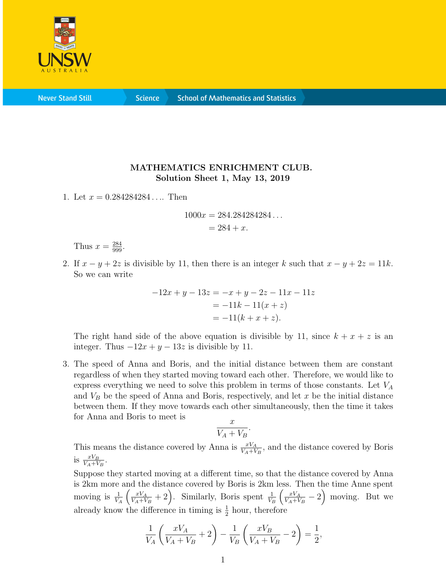

**Never Stand Still** 

**Science** 

## MATHEMATICS ENRICHMENT CLUB. Solution Sheet 1, May 13, 2019

1. Let  $x = 0.284284284...$  Then

$$
1000x = 284.284284284...
$$
  
= 284 + x.

Thus  $x = \frac{284}{999}$ .

2. If  $x - y + 2z$  is divisible by 11, then there is an integer k such that  $x - y + 2z = 11k$ . So we can write

$$
-12x + y - 13z = -x + y - 2z - 11x - 11z
$$

$$
= -11k - 11(x + z)
$$

$$
= -11(k + x + z).
$$

The right hand side of the above equation is divisible by 11, since  $k + x + z$  is an integer. Thus  $-12x + y - 13z$  is divisible by 11.

3. The speed of Anna and Boris, and the initial distance between them are constant regardless of when they started moving toward each other. Therefore, we would like to express everything we need to solve this problem in terms of those constants. Let  $V_A$ and  $V_B$  be the speed of Anna and Boris, respectively, and let x be the initial distance between them. If they move towards each other simultaneously, then the time it takes for Anna and Boris to meet is

$$
\frac{x}{V_A + V_B}.
$$

This means the distance covered by Anna is  $\frac{xV_A}{V_A+V_B}$ , and the distance covered by Boris is  $\frac{xV_B}{V_A+V_B}$ .

Suppose they started moving at a different time, so that the distance covered by Anna is 2km more and the distance covered by Boris is 2km less. Then the time Anne spent moving is  $\frac{1}{V_A}$  $\int \frac{xV_A}{\sqrt{2}}$  $\frac{xV_A}{V_A+V_B}+2$ . Similarly, Boris spent  $\frac{1}{V_B}$  $\int \frac{xV_A}{\sqrt{2}}$  $\frac{xV_A}{V_A+V_B}-2$  moving. But we already know the difference in timing is  $\frac{1}{2}$  hour, therefore

$$
\frac{1}{V_A} \left( \frac{xV_A}{V_A + V_B} + 2 \right) - \frac{1}{V_B} \left( \frac{xV_B}{V_A + V_B} - 2 \right) = \frac{1}{2},
$$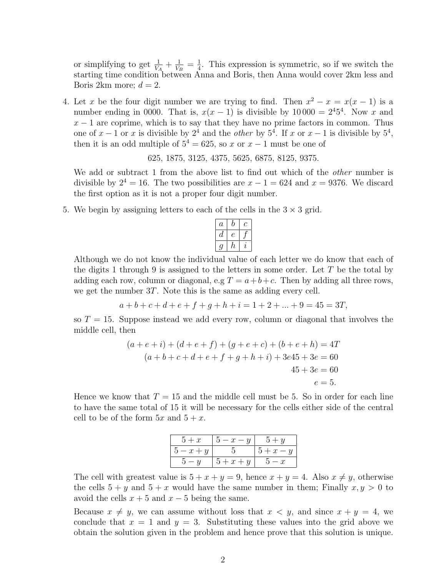or simplifying to get  $\frac{1}{V_A} + \frac{1}{V_H}$  $\frac{1}{V_B}=\frac{1}{4}$  $\frac{1}{4}$ . This expression is symmetric, so if we switch the starting time condition between Anna and Boris, then Anna would cover 2km less and Boris 2km more;  $d = 2$ .

4. Let x be the four digit number we are trying to find. Then  $x^2 - x = x(x - 1)$  is a number ending in 0000. That is,  $x(x-1)$  is divisible by  $10000 = 2<sup>4</sup>5<sup>4</sup>$ . Now x and  $x - 1$  are coprime, which is to say that they have no prime factors in common. Thus one of  $x-1$  or x is divisible by  $2^4$  and the *other* by  $5^4$ . If x or  $x-1$  is divisible by  $5^4$ , then it is an odd multiple of  $5^4 = 625$ , so x or  $x - 1$  must be one of

625, 1875, 3125, 4375, 5625, 6875, 8125, 9375.

We add or subtract 1 from the above list to find out which of the *other* number is divisible by  $2^4 = 16$ . The two possibilities are  $x - 1 = 624$  and  $x = 9376$ . We discard the first option as it is not a proper four digit number.

5. We begin by assigning letters to each of the cells in the  $3 \times 3$  grid.

| $\it a$ |   |   |
|---------|---|---|
| а       |   |   |
|         | n | Z |

Although we do not know the individual value of each letter we do know that each of the digits 1 through 9 is assigned to the letters in some order. Let  $T$  be the total by adding each row, column or diagonal, e.g  $T = a + b + c$ . Then by adding all three rows, we get the number 3T. Note this is the same as adding every cell.

 $a + b + c + d + e + f + q + h + i = 1 + 2 + ... + 9 = 45 = 3T$ 

so  $T = 15$ . Suppose instead we add every row, column or diagonal that involves the middle cell, then

$$
(a + e + i) + (d + e + f) + (g + e + c) + (b + e + h) = 4T
$$
  
\n
$$
(a + b + c + d + e + f + g + h + i) + 3e45 + 3e = 60
$$
  
\n
$$
45 + 3e = 60
$$
  
\n
$$
e = 5.
$$

Hence we know that  $T = 15$  and the middle cell must be 5. So in order for each line to have the same total of 15 it will be necessary for the cells either side of the central cell to be of the form  $5x$  and  $5 + x$ .

| $5 + x$              | $5-x-y$ | $5 + y$ |
|----------------------|---------|---------|
| $\mathbf{b} - x + y$ |         | $5+x-y$ |
| $\cdot - y$          | $5+x+y$ | $5-x$   |

The cell with greatest value is  $5 + x + y = 9$ , hence  $x + y = 4$ . Also  $x \neq y$ , otherwise the cells  $5 + y$  and  $5 + x$  would have the same number in them; Finally  $x, y > 0$  to avoid the cells  $x + 5$  and  $x - 5$  being the same.

Because  $x \neq y$ , we can assume without loss that  $x < y$ , and since  $x + y = 4$ , we conclude that  $x = 1$  and  $y = 3$ . Substituting these values into the grid above we obtain the solution given in the problem and hence prove that this solution is unique.